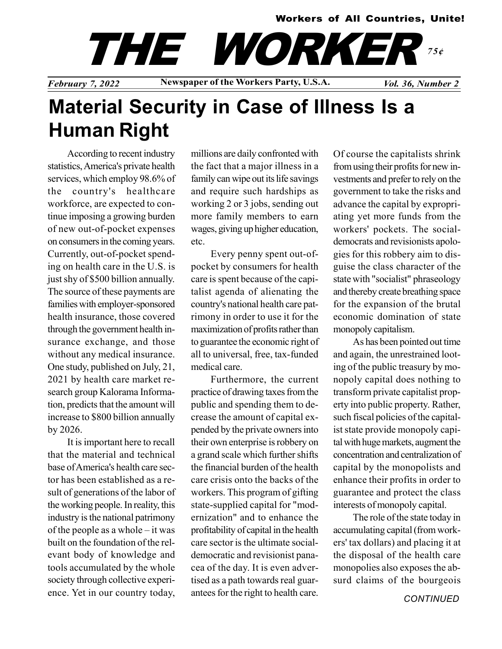#### Workers of All Countries, Unite!

THE WORKER 75¢

February 7, 2022 Newspaper of the Workers Party, U.S.A.  $Vol. 36$ , Number 2

# Material Security in Case of Illness Is a Human Right

According to recent industry statistics, America's private health services, which employ 98.6% of the country's healthcare workforce, are expected to continue imposing a growing burden of new out-of-pocket expenses on consumers in the coming years. Currently, out-of-pocket spending on health care in the U.S. is just shy of \$500 billion annually. The source of these payments are families with employer-sponsored health insurance, those covered through the government health insurance exchange, and those without any medical insurance. One study, published on July, 21, 2021 by health care market research group Kalorama Information, predicts that the amount will increase to \$800 billion annually by 2026.

It is important here to recall that the material and technical base of America's health care sector has been established as a result of generations of the labor of the working people. In reality, this industry is the national patrimony of the people as a whole – it was built on the foundation of the relevant body of knowledge and tools accumulated by the whole society through collective experience. Yet in our country today,

millions are daily confronted with the fact that a major illness in a family can wipe out its life savings and require such hardships as working 2 or 3 jobs, sending out more family members to earn wages, giving up higher education, etc.

Every penny spent out-ofpocket by consumers for health care is spent because of the capitalist agenda of alienating the country's national health care patrimony in order to use it for the maximization of profits rather than to guarantee the economic right of all to universal, free, tax-funded medical care.

Furthermore, the current practice of drawing taxes from the public and spending them to decrease the amount of capital expended by the private owners into their own enterprise is robbery on a grand scale which further shifts the financial burden of the health care crisis onto the backs of the workers. This program of gifting state-supplied capital for "modernization" and to enhance the profitability of capital in the health care sector is the ultimate socialdemocratic and revisionist panacea of the day. It is even advertised as a path towards real guarantees for the right to health care. Of course the capitalists shrink from using their profits for new investments and prefer to rely on the government to take the risks and advance the capital by expropriating yet more funds from the workers' pockets. The socialdemocrats and revisionists apologies for this robbery aim to disguise the class character of the state with "socialist" phraseology and thereby create breathing space for the expansion of the brutal economic domination of state monopoly capitalism.

As has been pointed out time and again, the unrestrained looting of the public treasury by monopoly capital does nothing to transform private capitalist property into public property. Rather, such fiscal policies of the capitalist state provide monopoly capital with huge markets, augment the concentration and centralization of capital by the monopolists and enhance their profits in order to guarantee and protect the class interests of monopoly capital.

The role of the state today in accumulating capital (from workers' tax dollars) and placing it at the disposal of the health care monopolies also exposes the absurd claims of the bourgeois

**CONTINUED**